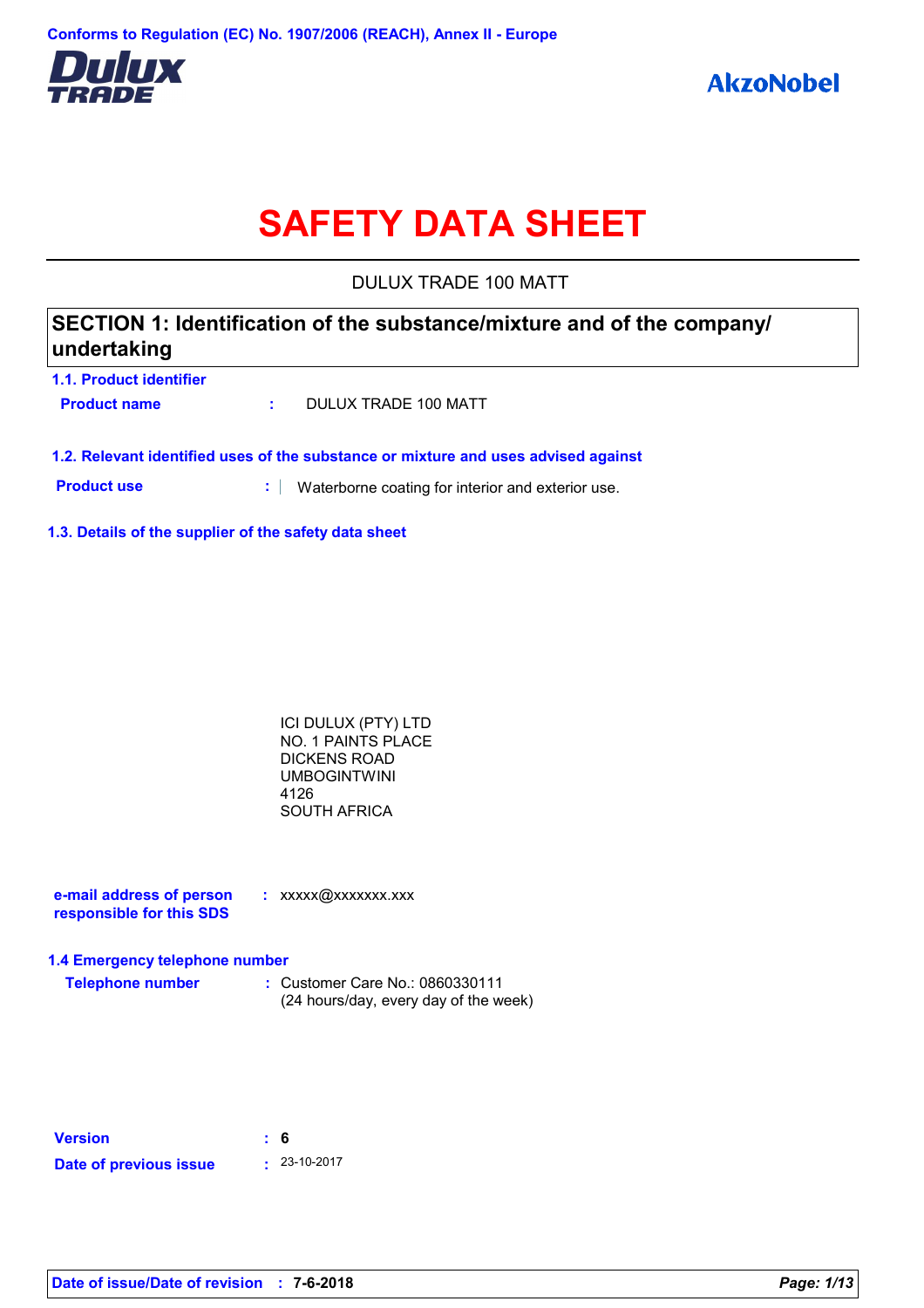

# **SAFETY DATA SHEET**

DULUX TRADE 100 MATT

## **SECTION 1: Identification of the substance/mixture and of the company/ undertaking**

| 1.1. Product identifier |                      |
|-------------------------|----------------------|
| <b>Product name</b>     | DULUX TRADE 100 MATT |

**1.2. Relevant identified uses of the substance or mixture and uses advised against**

**Product use <b>:** Waterborne coating for interior and exterior use.

**1.3. Details of the supplier of the safety data sheet**

ICI DULUX (PTY) LTD NO. 1 PAINTS PLACE DICKENS ROAD UMBOGINTWINI 4126 SOUTH AFRICA

**e-mail address of person responsible for this SDS :** xxxxx@xxxxxxx.xxx

### **1.4 Emergency telephone number**

**Telephone number :** Customer Care No.: 0860330111 (24 hours/day, every day of the week)

| <b>Version</b>         | : 6 |                    |
|------------------------|-----|--------------------|
| Date of previous issue |     | $\cdot$ 23-10-2017 |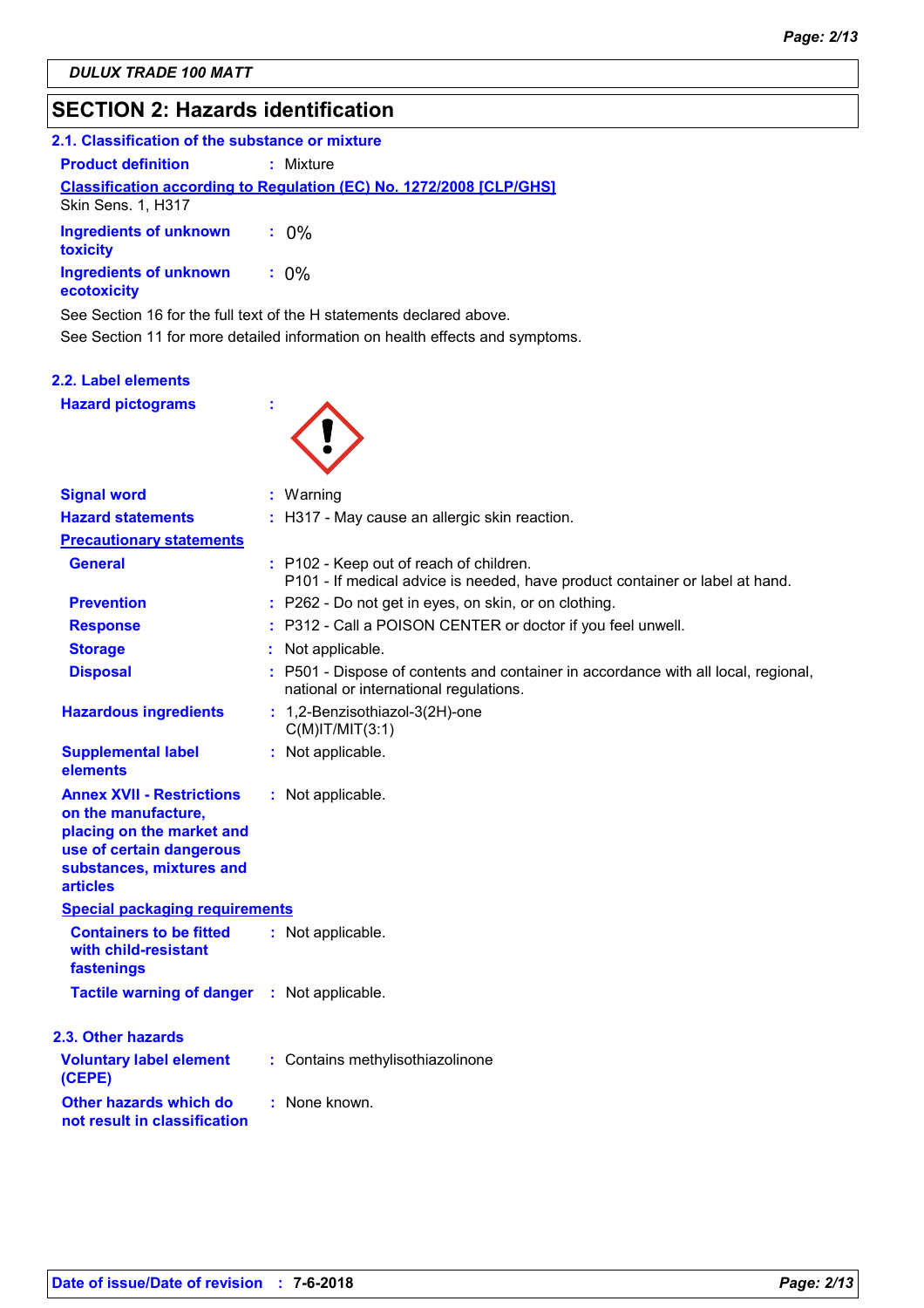## **SECTION 2: Hazards identification**

| 2.1. Classification of the substance or mixture |                                                                            |
|-------------------------------------------------|----------------------------------------------------------------------------|
| <b>Product definition</b>                       | : Mixture                                                                  |
| Skin Sens. 1, H317                              | <b>Classification according to Regulation (EC) No. 1272/2008 [CLP/GHS]</b> |
| Ingredients of unknown<br>toxicity              | $: 0\%$                                                                    |
| Ingredients of unknown<br>ecotoxicity           | $: 0\%$                                                                    |

See Section 11 for more detailed information on health effects and symptoms. See Section 16 for the full text of the H statements declared above.

### **2.2. Label elements**

**Hazard pictograms :**



| <b>Signal word</b>                                                                                                                                              | : Warning                                                                                                                    |
|-----------------------------------------------------------------------------------------------------------------------------------------------------------------|------------------------------------------------------------------------------------------------------------------------------|
| <b>Hazard statements</b>                                                                                                                                        | : H317 - May cause an allergic skin reaction.                                                                                |
| <b>Precautionary statements</b>                                                                                                                                 |                                                                                                                              |
| <b>General</b>                                                                                                                                                  | : P102 - Keep out of reach of children.<br>P101 - If medical advice is needed, have product container or label at hand.      |
| <b>Prevention</b>                                                                                                                                               | : P262 - Do not get in eyes, on skin, or on clothing.                                                                        |
| <b>Response</b>                                                                                                                                                 | : P312 - Call a POISON CENTER or doctor if you feel unwell.                                                                  |
| <b>Storage</b>                                                                                                                                                  | Not applicable.                                                                                                              |
| <b>Disposal</b>                                                                                                                                                 | : P501 - Dispose of contents and container in accordance with all local, regional,<br>national or international regulations. |
| <b>Hazardous ingredients</b>                                                                                                                                    | : 1,2-Benzisothiazol-3(2H)-one<br>$C(M)$ IT/MIT $(3:1)$                                                                      |
| <b>Supplemental label</b><br>elements                                                                                                                           | : Not applicable.                                                                                                            |
| <b>Annex XVII - Restrictions</b><br>on the manufacture,<br>placing on the market and<br>use of certain dangerous<br>substances, mixtures and<br><b>articles</b> | : Not applicable.                                                                                                            |
| <b>Special packaging requirements</b>                                                                                                                           |                                                                                                                              |
| <b>Containers to be fitted</b><br>with child-resistant<br>fastenings                                                                                            | : Not applicable.                                                                                                            |
| <b>Tactile warning of danger : Not applicable.</b>                                                                                                              |                                                                                                                              |
| 2.3. Other hazards                                                                                                                                              |                                                                                                                              |
| <b>Voluntary label element</b><br>(CEPE)                                                                                                                        | : Contains methylisothiazolinone                                                                                             |
| Other hazards which do<br>not result in classification                                                                                                          | : None known.                                                                                                                |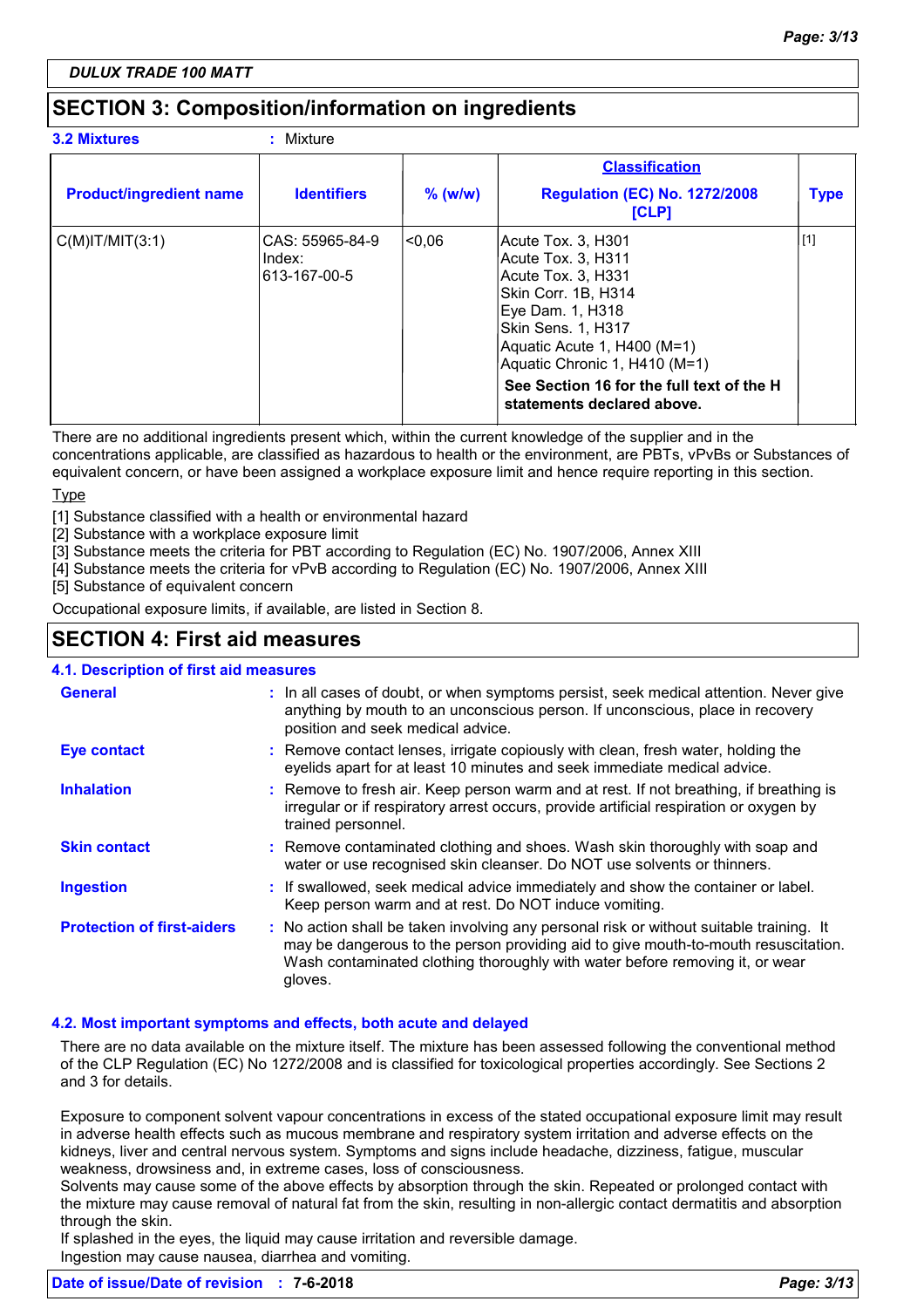## **SECTION 3: Composition/information on ingredients**

| <b>3.2 Mixtures</b>            | : Mixture                                 |           |                                                                                                                                                                                                                                                                              |             |
|--------------------------------|-------------------------------------------|-----------|------------------------------------------------------------------------------------------------------------------------------------------------------------------------------------------------------------------------------------------------------------------------------|-------------|
|                                |                                           |           | <b>Classification</b>                                                                                                                                                                                                                                                        |             |
| <b>Product/ingredient name</b> | <b>Identifiers</b>                        | $%$ (w/w) | <b>Regulation (EC) No. 1272/2008</b><br><b>[CLP]</b>                                                                                                                                                                                                                         | <b>Type</b> |
| $C(M)$ IT/MIT $(3:1)$          | CAS: 55965-84-9<br>Index:<br>613-167-00-5 | <0.06     | Acute Tox. 3, H301<br>Acute Tox. 3, H311<br>Acute Tox. 3, H331 <br>Skin Corr. 1B, H314<br>Eye Dam. 1, H318<br> Skin Sens. 1, H317<br>Aquatic Acute 1, H400 (M=1)<br>Aquatic Chronic 1, H410 (M=1)<br>See Section 16 for the full text of the H<br>statements declared above. | $[1]$       |

There are no additional ingredients present which, within the current knowledge of the supplier and in the concentrations applicable, are classified as hazardous to health or the environment, are PBTs, vPvBs or Substances of equivalent concern, or have been assigned a workplace exposure limit and hence require reporting in this section.

**Type** 

[1] Substance classified with a health or environmental hazard

[2] Substance with a workplace exposure limit

[3] Substance meets the criteria for PBT according to Regulation (EC) No. 1907/2006, Annex XIII

[4] Substance meets the criteria for vPvB according to Regulation (EC) No. 1907/2006, Annex XIII

[5] Substance of equivalent concern

Occupational exposure limits, if available, are listed in Section 8.

## **SECTION 4: First aid measures**

**4.1. Description of first aid measures**

| <b>General</b>                    | : In all cases of doubt, or when symptoms persist, seek medical attention. Never give<br>anything by mouth to an unconscious person. If unconscious, place in recovery<br>position and seek medical advice.                                                              |
|-----------------------------------|--------------------------------------------------------------------------------------------------------------------------------------------------------------------------------------------------------------------------------------------------------------------------|
| <b>Eye contact</b>                | : Remove contact lenses, irrigate copiously with clean, fresh water, holding the<br>eyelids apart for at least 10 minutes and seek immediate medical advice.                                                                                                             |
| <b>Inhalation</b>                 | : Remove to fresh air. Keep person warm and at rest. If not breathing, if breathing is<br>irregular or if respiratory arrest occurs, provide artificial respiration or oxygen by<br>trained personnel.                                                                   |
| <b>Skin contact</b>               | : Remove contaminated clothing and shoes. Wash skin thoroughly with soap and<br>water or use recognised skin cleanser. Do NOT use solvents or thinners.                                                                                                                  |
| <b>Ingestion</b>                  | : If swallowed, seek medical advice immediately and show the container or label.<br>Keep person warm and at rest. Do NOT induce vomiting.                                                                                                                                |
| <b>Protection of first-aiders</b> | : No action shall be taken involving any personal risk or without suitable training. It<br>may be dangerous to the person providing aid to give mouth-to-mouth resuscitation.<br>Wash contaminated clothing thoroughly with water before removing it, or wear<br>gloves. |

### **4.2. Most important symptoms and effects, both acute and delayed**

There are no data available on the mixture itself. The mixture has been assessed following the conventional method of the CLP Regulation (EC) No 1272/2008 and is classified for toxicological properties accordingly. See Sections 2 and 3 for details.

Exposure to component solvent vapour concentrations in excess of the stated occupational exposure limit may result in adverse health effects such as mucous membrane and respiratory system irritation and adverse effects on the kidneys, liver and central nervous system. Symptoms and signs include headache, dizziness, fatigue, muscular weakness, drowsiness and, in extreme cases, loss of consciousness.

Solvents may cause some of the above effects by absorption through the skin. Repeated or prolonged contact with the mixture may cause removal of natural fat from the skin, resulting in non-allergic contact dermatitis and absorption through the skin.

If splashed in the eyes, the liquid may cause irritation and reversible damage. Ingestion may cause nausea, diarrhea and vomiting.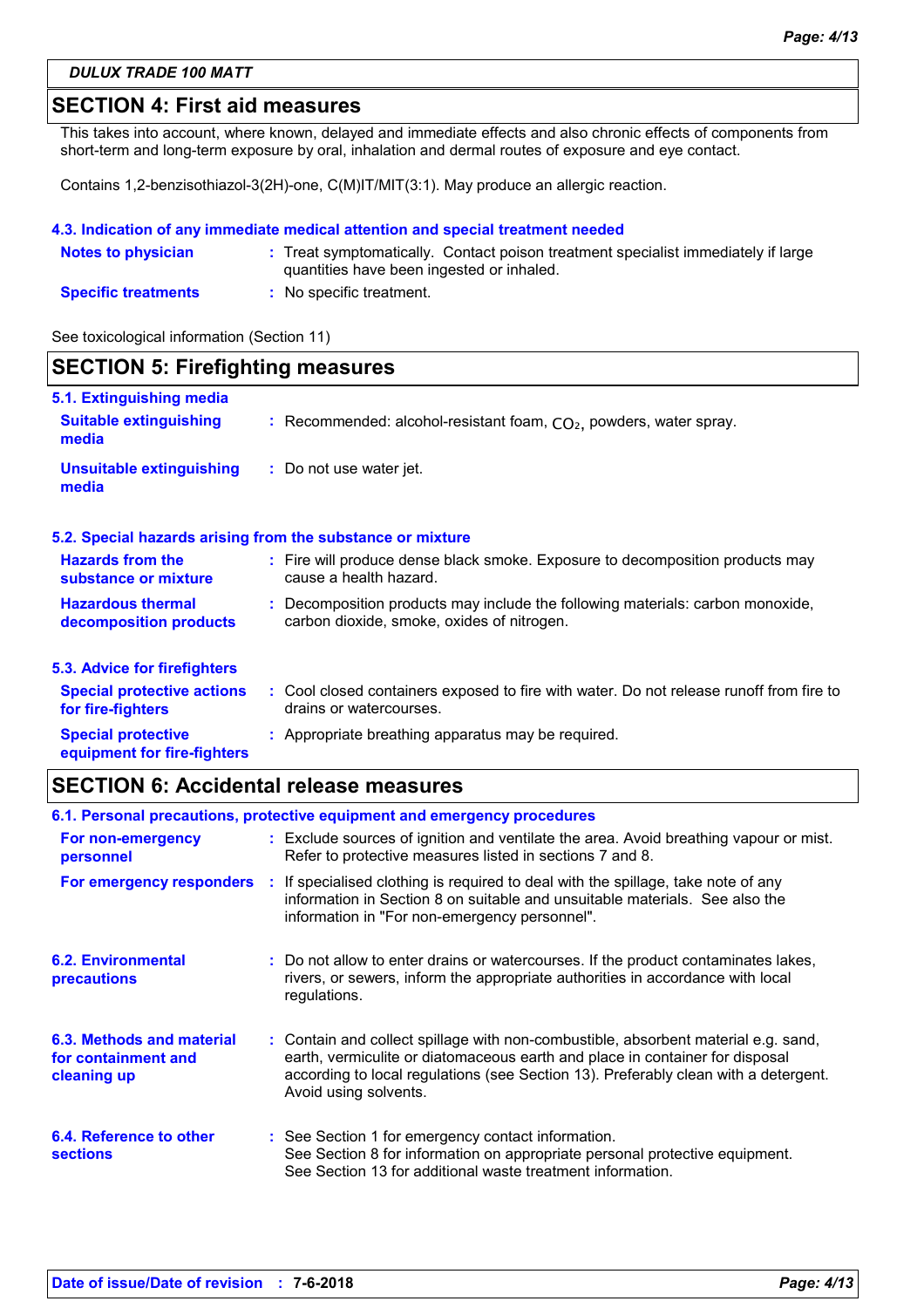### **SECTION 4: First aid measures**

This takes into account, where known, delayed and immediate effects and also chronic effects of components from short-term and long-term exposure by oral, inhalation and dermal routes of exposure and eye contact.

Contains 1,2-benzisothiazol-3(2H)-one, C(M)IT/MIT(3:1). May produce an allergic reaction.

### **4.3. Indication of any immediate medical attention and special treatment needed**

| <b>Notes to physician</b>  | : Treat symptomatically. Contact poison treatment specialist immediately if large<br>quantities have been ingested or inhaled. |
|----------------------------|--------------------------------------------------------------------------------------------------------------------------------|
| <b>Specific treatments</b> | : No specific treatment.                                                                                                       |

See toxicological information (Section 11)

| <b>SECTION 5: Firefighting measures</b>                            |                                                                                                                              |  |
|--------------------------------------------------------------------|------------------------------------------------------------------------------------------------------------------------------|--|
| 5.1. Extinguishing media<br><b>Suitable extinguishing</b><br>media | : Recommended: alcohol-resistant foam, $CO2$ , powders, water spray.                                                         |  |
| <b>Unsuitable extinguishing</b><br>media                           | : Do not use water jet.                                                                                                      |  |
|                                                                    | 5.2. Special hazards arising from the substance or mixture                                                                   |  |
| <b>Hazards from the</b><br>substance or mixture                    | : Fire will produce dense black smoke. Exposure to decomposition products may<br>cause a health hazard.                      |  |
| <b>Hazardous thermal</b><br>decomposition products                 | : Decomposition products may include the following materials: carbon monoxide,<br>carbon dioxide, smoke, oxides of nitrogen. |  |
| 5.3. Advice for firefighters                                       |                                                                                                                              |  |
| <b>Special protective actions</b><br>for fire-fighters             | : Cool closed containers exposed to fire with water. Do not release runoff from fire to<br>drains or watercourses.           |  |
| <b>Special protective</b><br>equipment for fire-fighters           | : Appropriate breathing apparatus may be required.                                                                           |  |

## **SECTION 6: Accidental release measures**

|                                                                 | 6.1. Personal precautions, protective equipment and emergency procedures                                                                                                                                                                                                           |
|-----------------------------------------------------------------|------------------------------------------------------------------------------------------------------------------------------------------------------------------------------------------------------------------------------------------------------------------------------------|
| For non-emergency<br>personnel                                  | : Exclude sources of ignition and ventilate the area. Avoid breathing vapour or mist.<br>Refer to protective measures listed in sections 7 and 8.                                                                                                                                  |
|                                                                 | For emergency responders : If specialised clothing is required to deal with the spillage, take note of any<br>information in Section 8 on suitable and unsuitable materials. See also the<br>information in "For non-emergency personnel".                                         |
| <b>6.2. Environmental</b><br>precautions                        | : Do not allow to enter drains or watercourses. If the product contaminates lakes,<br>rivers, or sewers, inform the appropriate authorities in accordance with local<br>regulations.                                                                                               |
| 6.3. Methods and material<br>for containment and<br>cleaning up | : Contain and collect spillage with non-combustible, absorbent material e.g. sand,<br>earth, vermiculite or diatomaceous earth and place in container for disposal<br>according to local regulations (see Section 13). Preferably clean with a detergent.<br>Avoid using solvents. |
| 6.4. Reference to other<br><b>sections</b>                      | : See Section 1 for emergency contact information.<br>See Section 8 for information on appropriate personal protective equipment.<br>See Section 13 for additional waste treatment information.                                                                                    |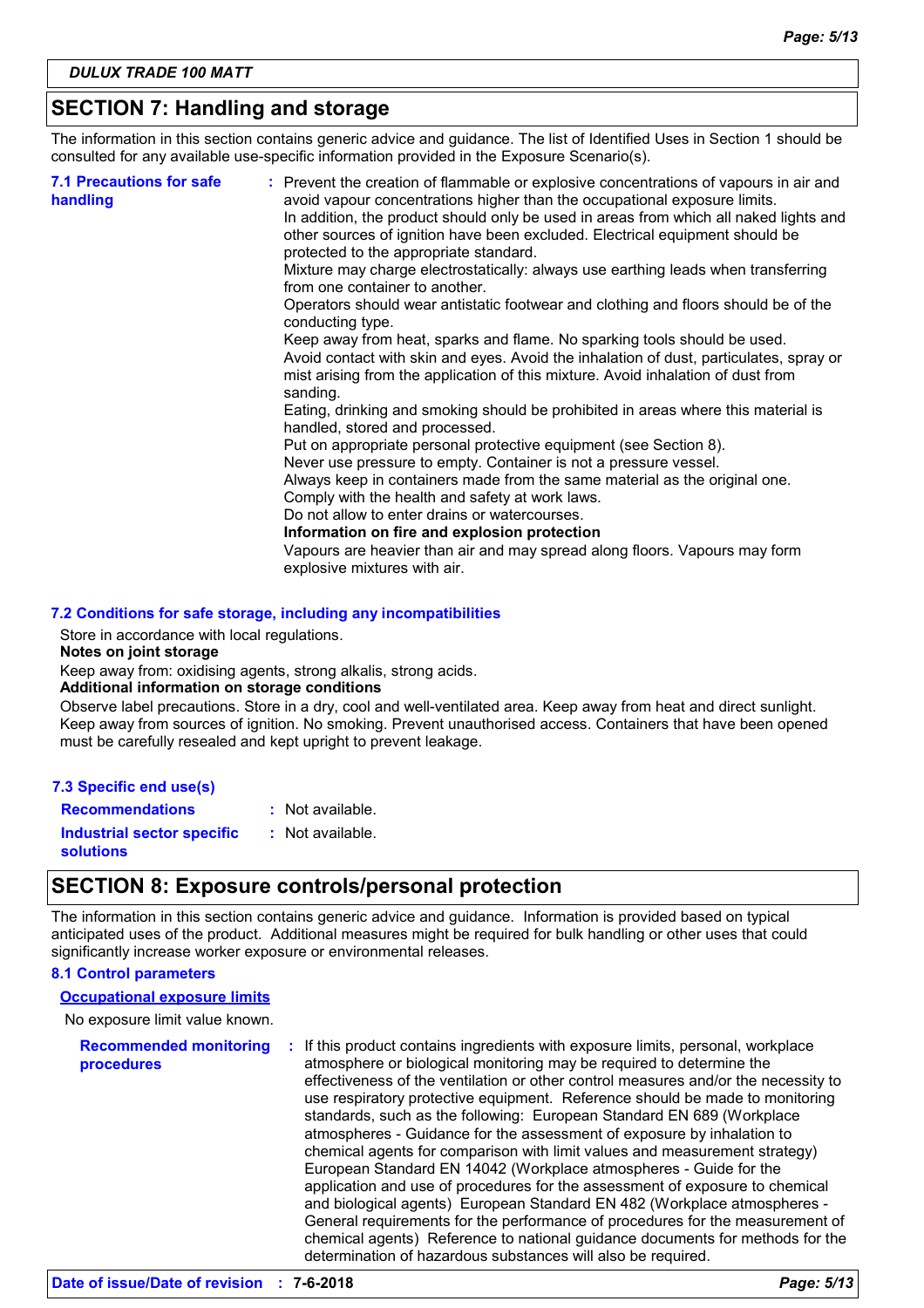## **SECTION 7: Handling and storage**

The information in this section contains generic advice and guidance. The list of Identified Uses in Section 1 should be consulted for any available use-specific information provided in the Exposure Scenario(s).

| handled, stored and processed.<br>Put on appropriate personal protective equipment (see Section 8).<br>Never use pressure to empty. Container is not a pressure vessel.<br>Always keep in containers made from the same material as the original one.<br>Comply with the health and safety at work laws.<br>Do not allow to enter drains or watercourses.<br>Information on fire and explosion protection<br>Vapours are heavier than air and may spread along floors. Vapours may form<br>explosive mixtures with air. | <b>7.1 Precautions for safe</b><br>handling | : Prevent the creation of flammable or explosive concentrations of vapours in air and<br>avoid vapour concentrations higher than the occupational exposure limits.<br>In addition, the product should only be used in areas from which all naked lights and<br>other sources of ignition have been excluded. Electrical equipment should be<br>protected to the appropriate standard.<br>Mixture may charge electrostatically: always use earthing leads when transferring<br>from one container to another.<br>Operators should wear antistatic footwear and clothing and floors should be of the<br>conducting type.<br>Keep away from heat, sparks and flame. No sparking tools should be used.<br>Avoid contact with skin and eyes. Avoid the inhalation of dust, particulates, spray or<br>mist arising from the application of this mixture. Avoid inhalation of dust from<br>sanding.<br>Eating, drinking and smoking should be prohibited in areas where this material is |
|-------------------------------------------------------------------------------------------------------------------------------------------------------------------------------------------------------------------------------------------------------------------------------------------------------------------------------------------------------------------------------------------------------------------------------------------------------------------------------------------------------------------------|---------------------------------------------|-----------------------------------------------------------------------------------------------------------------------------------------------------------------------------------------------------------------------------------------------------------------------------------------------------------------------------------------------------------------------------------------------------------------------------------------------------------------------------------------------------------------------------------------------------------------------------------------------------------------------------------------------------------------------------------------------------------------------------------------------------------------------------------------------------------------------------------------------------------------------------------------------------------------------------------------------------------------------------------|
|-------------------------------------------------------------------------------------------------------------------------------------------------------------------------------------------------------------------------------------------------------------------------------------------------------------------------------------------------------------------------------------------------------------------------------------------------------------------------------------------------------------------------|---------------------------------------------|-----------------------------------------------------------------------------------------------------------------------------------------------------------------------------------------------------------------------------------------------------------------------------------------------------------------------------------------------------------------------------------------------------------------------------------------------------------------------------------------------------------------------------------------------------------------------------------------------------------------------------------------------------------------------------------------------------------------------------------------------------------------------------------------------------------------------------------------------------------------------------------------------------------------------------------------------------------------------------------|

### **7.2 Conditions for safe storage, including any incompatibilities**

Store in accordance with local regulations.

#### **Notes on joint storage**

Keep away from: oxidising agents, strong alkalis, strong acids.

### **Additional information on storage conditions**

Observe label precautions. Store in a dry, cool and well-ventilated area. Keep away from heat and direct sunlight. Keep away from sources of ignition. No smoking. Prevent unauthorised access. Containers that have been opened must be carefully resealed and kept upright to prevent leakage.

| 7.3 Specific end use(s)                               |                  |
|-------------------------------------------------------|------------------|
| <b>Recommendations</b>                                | : Not available. |
| <b>Industrial sector specific</b><br><b>solutions</b> | : Not available. |

### **SECTION 8: Exposure controls/personal protection**

The information in this section contains generic advice and guidance. Information is provided based on typical anticipated uses of the product. Additional measures might be required for bulk handling or other uses that could significantly increase worker exposure or environmental releases.

### **8.1 Control parameters**

### **Occupational exposure limits**

No exposure limit value known.

| <b>Recommended monitoring</b><br>procedures | If this product contains ingredients with exposure limits, personal, workplace<br>÷.<br>atmosphere or biological monitoring may be required to determine the       |
|---------------------------------------------|--------------------------------------------------------------------------------------------------------------------------------------------------------------------|
|                                             | effectiveness of the ventilation or other control measures and/or the necessity to<br>use respiratory protective equipment. Reference should be made to monitoring |
|                                             | standards, such as the following: European Standard EN 689 (Workplace                                                                                              |
|                                             | atmospheres - Guidance for the assessment of exposure by inhalation to                                                                                             |
|                                             | chemical agents for comparison with limit values and measurement strategy)                                                                                         |
|                                             | European Standard EN 14042 (Workplace atmospheres - Guide for the                                                                                                  |
|                                             | application and use of procedures for the assessment of exposure to chemical                                                                                       |
|                                             | and biological agents) European Standard EN 482 (Workplace atmospheres -                                                                                           |
|                                             | General requirements for the performance of procedures for the measurement of                                                                                      |
|                                             | chemical agents) Reference to national guidance documents for methods for the                                                                                      |
|                                             | determination of hazardous substances will also be required.                                                                                                       |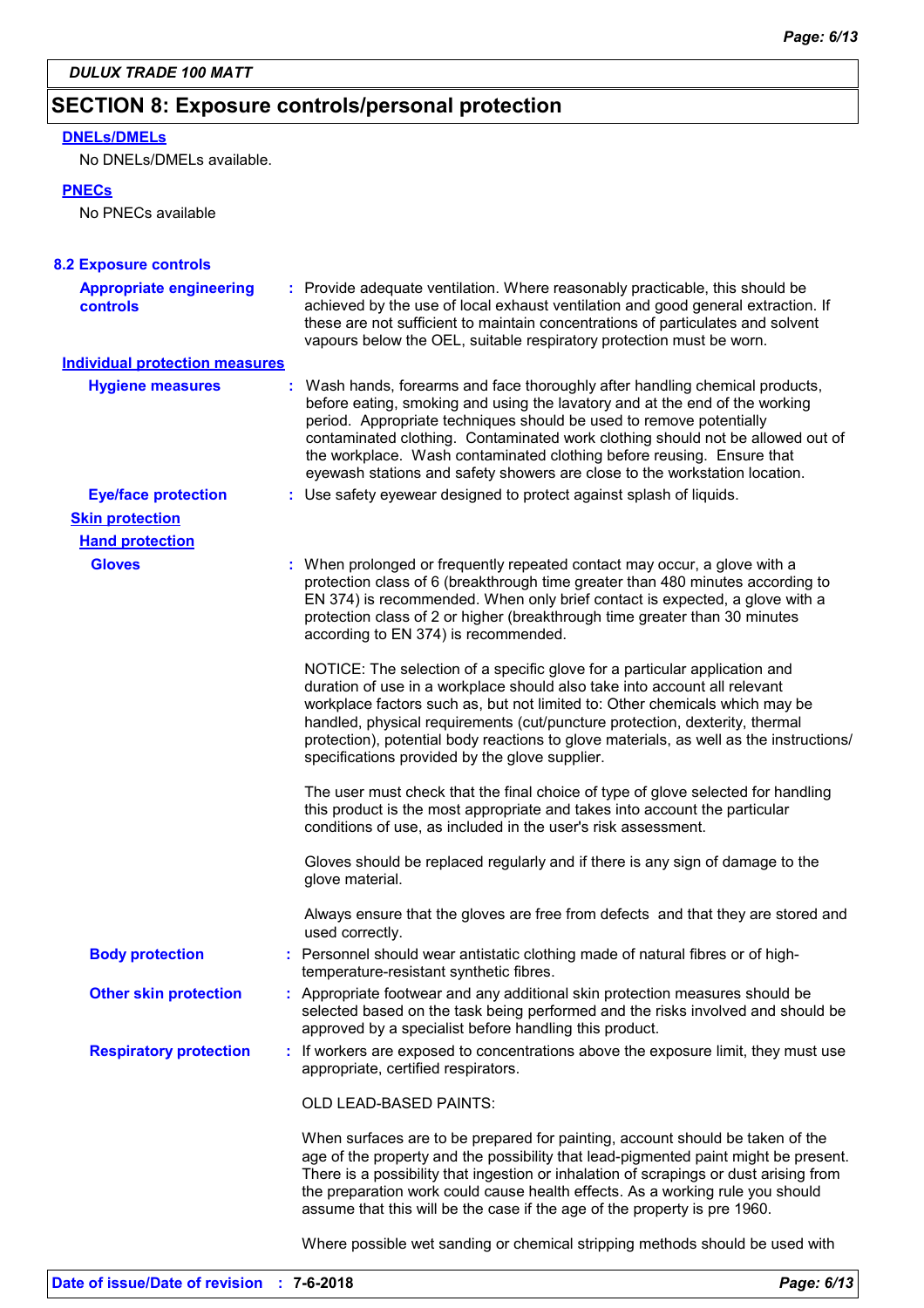## **SECTION 8: Exposure controls/personal protection**

### **DNELs/DMELs**

No DNELs/DMELs available.

### **PNECs**

No PNECs available

| <b>8.2 Exposure controls</b>                      |                                                                                                                                                                                                                                                                                                                                                                                                                                                                           |  |
|---------------------------------------------------|---------------------------------------------------------------------------------------------------------------------------------------------------------------------------------------------------------------------------------------------------------------------------------------------------------------------------------------------------------------------------------------------------------------------------------------------------------------------------|--|
| <b>Appropriate engineering</b><br><b>controls</b> | : Provide adequate ventilation. Where reasonably practicable, this should be<br>achieved by the use of local exhaust ventilation and good general extraction. If<br>these are not sufficient to maintain concentrations of particulates and solvent<br>vapours below the OEL, suitable respiratory protection must be worn.                                                                                                                                               |  |
| <b>Individual protection measures</b>             |                                                                                                                                                                                                                                                                                                                                                                                                                                                                           |  |
| <b>Hygiene measures</b>                           | Wash hands, forearms and face thoroughly after handling chemical products,<br>before eating, smoking and using the lavatory and at the end of the working<br>period. Appropriate techniques should be used to remove potentially<br>contaminated clothing. Contaminated work clothing should not be allowed out of<br>the workplace. Wash contaminated clothing before reusing. Ensure that<br>eyewash stations and safety showers are close to the workstation location. |  |
| <b>Eye/face protection</b>                        | : Use safety eyewear designed to protect against splash of liquids.                                                                                                                                                                                                                                                                                                                                                                                                       |  |
| <b>Skin protection</b>                            |                                                                                                                                                                                                                                                                                                                                                                                                                                                                           |  |
| <b>Hand protection</b>                            |                                                                                                                                                                                                                                                                                                                                                                                                                                                                           |  |
| <b>Gloves</b>                                     | : When prolonged or frequently repeated contact may occur, a glove with a<br>protection class of 6 (breakthrough time greater than 480 minutes according to<br>EN 374) is recommended. When only brief contact is expected, a glove with a<br>protection class of 2 or higher (breakthrough time greater than 30 minutes<br>according to EN 374) is recommended.                                                                                                          |  |
|                                                   | NOTICE: The selection of a specific glove for a particular application and<br>duration of use in a workplace should also take into account all relevant<br>workplace factors such as, but not limited to: Other chemicals which may be<br>handled, physical requirements (cut/puncture protection, dexterity, thermal<br>protection), potential body reactions to glove materials, as well as the instructions/<br>specifications provided by the glove supplier.         |  |
|                                                   | The user must check that the final choice of type of glove selected for handling<br>this product is the most appropriate and takes into account the particular<br>conditions of use, as included in the user's risk assessment.                                                                                                                                                                                                                                           |  |
|                                                   | Gloves should be replaced regularly and if there is any sign of damage to the<br>glove material.                                                                                                                                                                                                                                                                                                                                                                          |  |
|                                                   | Always ensure that the gloves are free from defects and that they are stored and<br>used correctly.                                                                                                                                                                                                                                                                                                                                                                       |  |
| <b>Body protection</b>                            | : Personnel should wear antistatic clothing made of natural fibres or of high-<br>temperature-resistant synthetic fibres.                                                                                                                                                                                                                                                                                                                                                 |  |
| <b>Other skin protection</b>                      | : Appropriate footwear and any additional skin protection measures should be<br>selected based on the task being performed and the risks involved and should be<br>approved by a specialist before handling this product.                                                                                                                                                                                                                                                 |  |
| <b>Respiratory protection</b>                     | : If workers are exposed to concentrations above the exposure limit, they must use<br>appropriate, certified respirators.                                                                                                                                                                                                                                                                                                                                                 |  |
|                                                   | OLD LEAD-BASED PAINTS:                                                                                                                                                                                                                                                                                                                                                                                                                                                    |  |
|                                                   | When surfaces are to be prepared for painting, account should be taken of the<br>age of the property and the possibility that lead-pigmented paint might be present.<br>There is a possibility that ingestion or inhalation of scrapings or dust arising from<br>the preparation work could cause health effects. As a working rule you should<br>assume that this will be the case if the age of the property is pre 1960.                                               |  |
|                                                   | Where possible wet sanding or chemical stripping methods should be used with                                                                                                                                                                                                                                                                                                                                                                                              |  |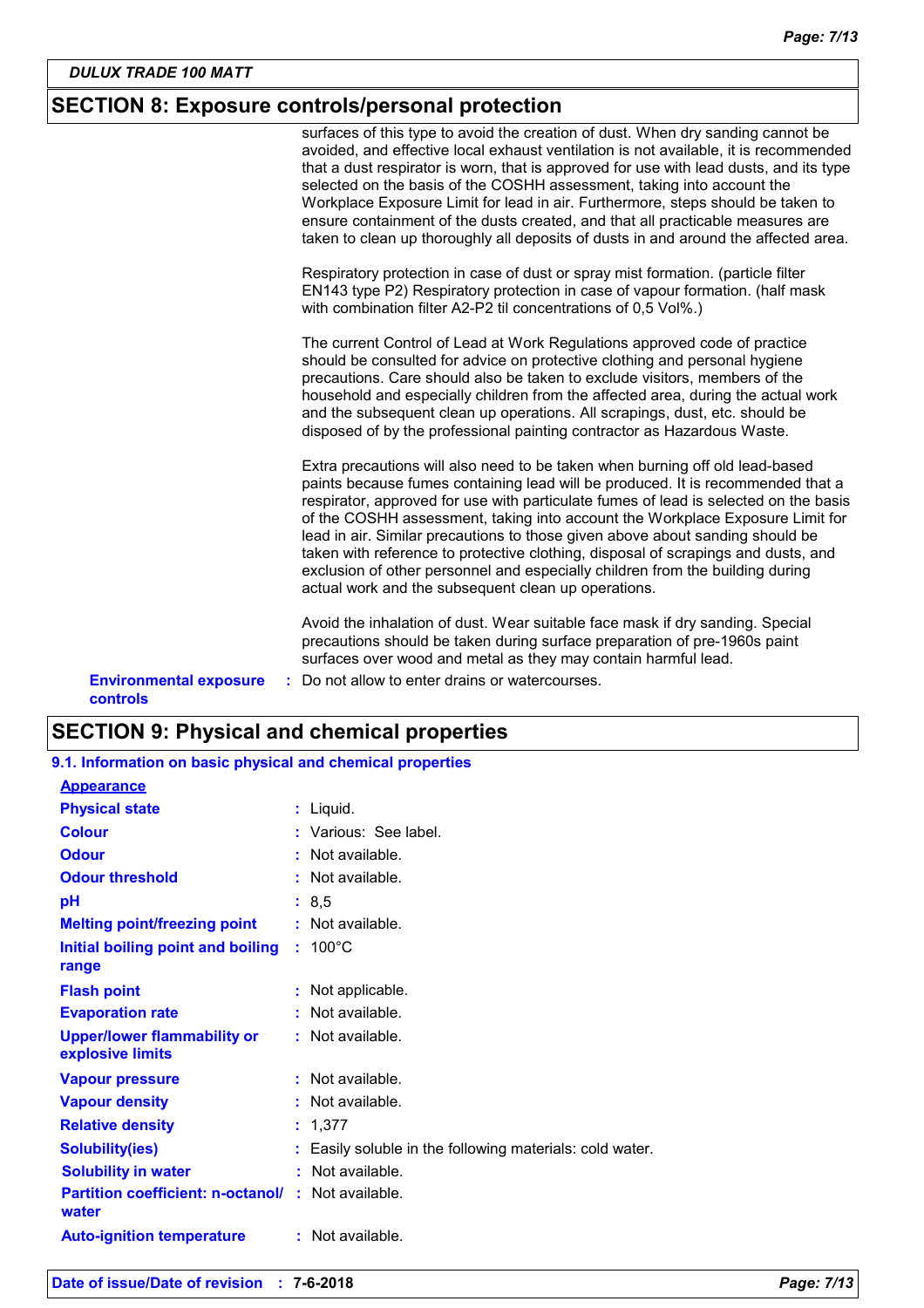## **SECTION 8: Exposure controls/personal protection**

|                                                  | surfaces of this type to avoid the creation of dust. When dry sanding cannot be<br>avoided, and effective local exhaust ventilation is not available, it is recommended<br>that a dust respirator is worn, that is approved for use with lead dusts, and its type<br>selected on the basis of the COSHH assessment, taking into account the<br>Workplace Exposure Limit for lead in air. Furthermore, steps should be taken to<br>ensure containment of the dusts created, and that all practicable measures are<br>taken to clean up thoroughly all deposits of dusts in and around the affected area.                                                |
|--------------------------------------------------|--------------------------------------------------------------------------------------------------------------------------------------------------------------------------------------------------------------------------------------------------------------------------------------------------------------------------------------------------------------------------------------------------------------------------------------------------------------------------------------------------------------------------------------------------------------------------------------------------------------------------------------------------------|
|                                                  | Respiratory protection in case of dust or spray mist formation. (particle filter<br>EN143 type P2) Respiratory protection in case of vapour formation. (half mask<br>with combination filter A2-P2 til concentrations of 0,5 Vol%.)                                                                                                                                                                                                                                                                                                                                                                                                                    |
|                                                  | The current Control of Lead at Work Regulations approved code of practice<br>should be consulted for advice on protective clothing and personal hygiene<br>precautions. Care should also be taken to exclude visitors, members of the<br>household and especially children from the affected area, during the actual work<br>and the subsequent clean up operations. All scrapings, dust, etc. should be<br>disposed of by the professional painting contractor as Hazardous Waste.                                                                                                                                                                    |
|                                                  | Extra precautions will also need to be taken when burning off old lead-based<br>paints because fumes containing lead will be produced. It is recommended that a<br>respirator, approved for use with particulate fumes of lead is selected on the basis<br>of the COSHH assessment, taking into account the Workplace Exposure Limit for<br>lead in air. Similar precautions to those given above about sanding should be<br>taken with reference to protective clothing, disposal of scrapings and dusts, and<br>exclusion of other personnel and especially children from the building during<br>actual work and the subsequent clean up operations. |
|                                                  | Avoid the inhalation of dust. Wear suitable face mask if dry sanding. Special<br>precautions should be taken during surface preparation of pre-1960s paint<br>surfaces over wood and metal as they may contain harmful lead.                                                                                                                                                                                                                                                                                                                                                                                                                           |
| <b>Environmental exposure</b><br><b>controls</b> | Do not allow to enter drains or watercourses.                                                                                                                                                                                                                                                                                                                                                                                                                                                                                                                                                                                                          |

## **SECTION 9: Physical and chemical properties**

| 9.1. Information on basic physical and chemical properties         |                                                          |
|--------------------------------------------------------------------|----------------------------------------------------------|
| <b>Appearance</b>                                                  |                                                          |
| <b>Physical state</b>                                              | : Liquid.                                                |
| <b>Colour</b>                                                      | : Various: See label.                                    |
| <b>Odour</b>                                                       | $:$ Not available.                                       |
| <b>Odour threshold</b>                                             | $:$ Not available.                                       |
| pH                                                                 | : 8, 5                                                   |
| <b>Melting point/freezing point</b>                                | : Not available.                                         |
| Initial boiling point and boiling<br>range                         | $: 100^{\circ}$ C                                        |
| <b>Flash point</b>                                                 | : Not applicable.                                        |
| <b>Evaporation rate</b>                                            | : Not available.                                         |
| <b>Upper/lower flammability or</b><br>explosive limits             | : Not available.                                         |
| <b>Vapour pressure</b>                                             | : Not available.                                         |
| <b>Vapour density</b>                                              | $:$ Not available.                                       |
| <b>Relative density</b>                                            | : 1,377                                                  |
| <b>Solubility(ies)</b>                                             | : Easily soluble in the following materials: cold water. |
| <b>Solubility in water</b>                                         | Not available.                                           |
| <b>Partition coefficient: n-octanol/ : Not available.</b><br>water |                                                          |
| <b>Auto-ignition temperature</b>                                   | $:$ Not available.                                       |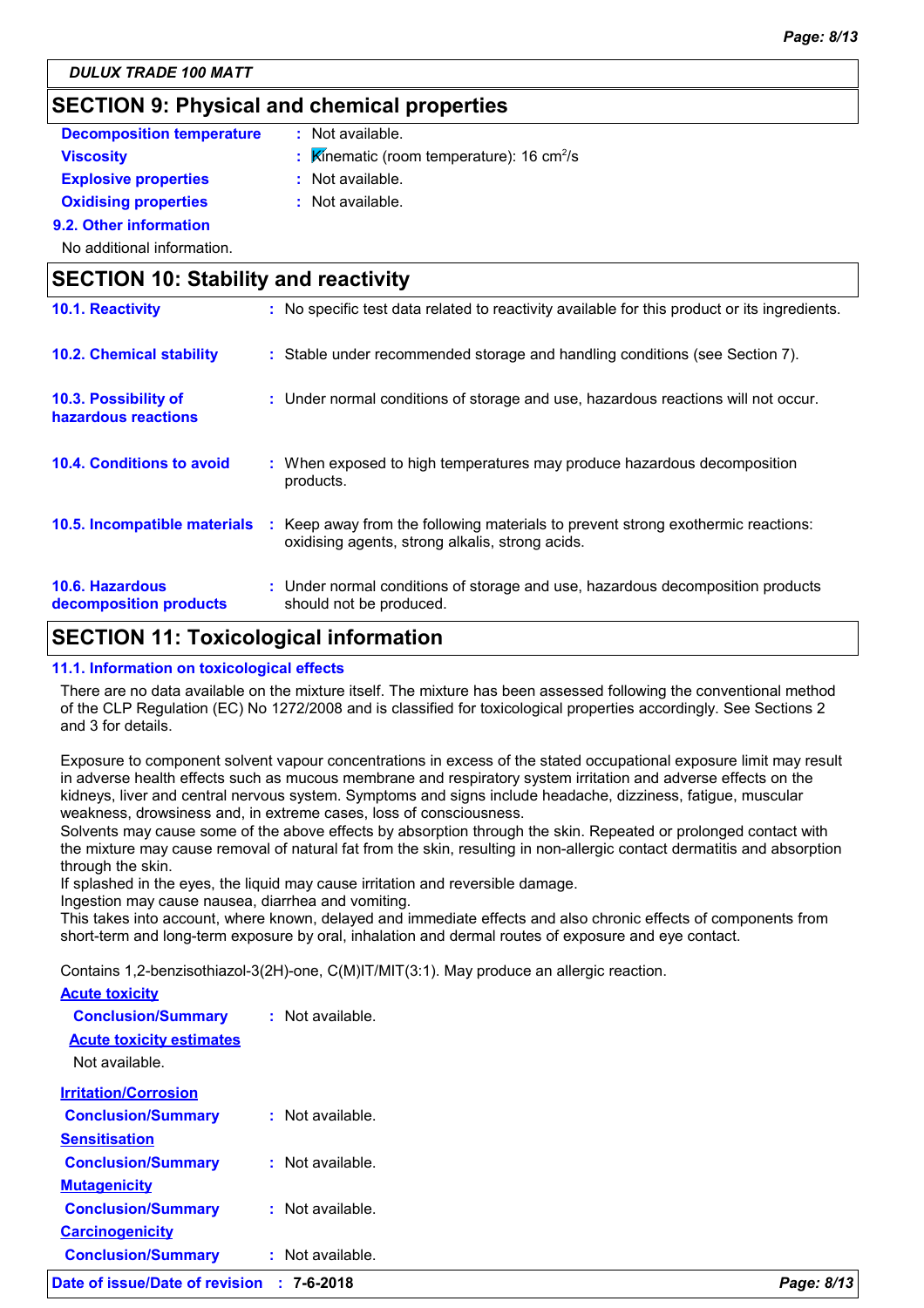## **SECTION 9: Physical and chemical properties**

## **Decomposition temperature :** Not available.

- **Viscosity Kinematic (room temperature): 16 cm<sup>2</sup>/s**
- **Explosive properties :**
- : Not available.
- **Oxidising properties** : Not available.

**9.2. Other information**

No additional information.

## **SECTION 10: Stability and reactivity 10.4. Conditions to avoid** : When exposed to high temperatures may produce hazardous decomposition **10.2. Chemical stability :** Stable under recommended storage and handling conditions (see Section 7). **10.3. Possibility of hazardous reactions :** Under normal conditions of storage and use, hazardous reactions will not occur. **10.1. Reactivity :** No specific test data related to reactivity available for this product or its ingredients.

- **10.5. Incompatible materials** : Keep away from the following materials to prevent strong exothermic reactions: oxidising agents, strong alkalis, strong acids. products.
- **10.6. Hazardous decomposition products :** Under normal conditions of storage and use, hazardous decomposition products should not be produced.

## **SECTION 11: Toxicological information**

### **11.1. Information on toxicological effects**

There are no data available on the mixture itself. The mixture has been assessed following the conventional method of the CLP Regulation (EC) No 1272/2008 and is classified for toxicological properties accordingly. See Sections 2 and 3 for details.

Exposure to component solvent vapour concentrations in excess of the stated occupational exposure limit may result in adverse health effects such as mucous membrane and respiratory system irritation and adverse effects on the kidneys, liver and central nervous system. Symptoms and signs include headache, dizziness, fatigue, muscular weakness, drowsiness and, in extreme cases, loss of consciousness.

Solvents may cause some of the above effects by absorption through the skin. Repeated or prolonged contact with the mixture may cause removal of natural fat from the skin, resulting in non-allergic contact dermatitis and absorption through the skin.

If splashed in the eyes, the liquid may cause irritation and reversible damage.

Ingestion may cause nausea, diarrhea and vomiting.

This takes into account, where known, delayed and immediate effects and also chronic effects of components from short-term and long-term exposure by oral, inhalation and dermal routes of exposure and eye contact.

Contains 1,2-benzisothiazol-3(2H)-one, C(M)IT/MIT(3:1). May produce an allergic reaction.

| Date of issue/Date of revision  | $: 7 - 6 - 2018$   | Page: 8/13 |
|---------------------------------|--------------------|------------|
| <b>Conclusion/Summary</b>       | : Not available.   |            |
| <b>Carcinogenicity</b>          |                    |            |
| <b>Conclusion/Summary</b>       | : Not available.   |            |
| <b>Mutagenicity</b>             |                    |            |
| <b>Conclusion/Summary</b>       | : Not available.   |            |
| <b>Sensitisation</b>            |                    |            |
| <b>Conclusion/Summary</b>       | $:$ Not available. |            |
| <b>Irritation/Corrosion</b>     |                    |            |
| Not available.                  |                    |            |
| <b>Acute toxicity estimates</b> |                    |            |
| <b>Conclusion/Summary</b>       | : Not available.   |            |
| <b>Acute toxicity</b>           |                    |            |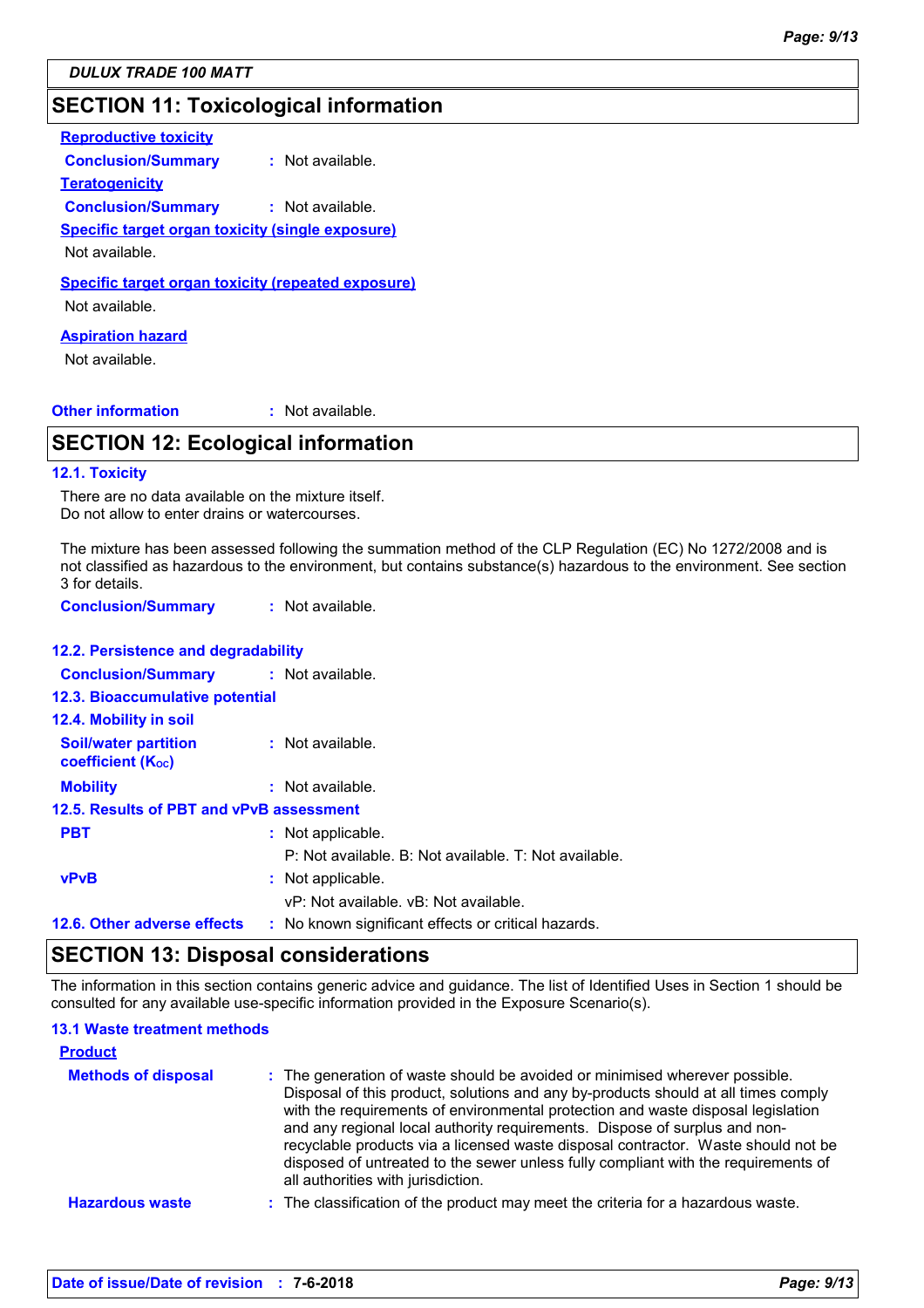## **SECTION 11: Toxicological information**

| <b>Reproductive toxicity</b>                                         |                    |
|----------------------------------------------------------------------|--------------------|
| <b>Conclusion/Summary</b>                                            | $:$ Not available. |
| <b>Teratogenicity</b>                                                |                    |
| <b>Conclusion/Summary</b>                                            | $:$ Not available. |
| <b>Specific target organ toxicity (single exposure)</b>              |                    |
| Not available.                                                       |                    |
| Specific target organ toxicity (repeated exposure)<br>Not available. |                    |
| Aspiration hazard                                                    |                    |

Not available.

### **Other information :**

: Not available.

## **SECTION 12: Ecological information**

### **12.1. Toxicity**

There are no data available on the mixture itself. Do not allow to enter drains or watercourses.

The mixture has been assessed following the summation method of the CLP Regulation (EC) No 1272/2008 and is not classified as hazardous to the environment, but contains substance(s) hazardous to the environment. See section 3 for details.

**Conclusion/Summary :** Not available.

### **12.2. Persistence and degradability**

| <b>Conclusion/Summary : Not available.</b>              |                                                       |
|---------------------------------------------------------|-------------------------------------------------------|
| <b>12.3. Bioaccumulative potential</b>                  |                                                       |
| 12.4. Mobility in soil                                  |                                                       |
| <b>Soil/water partition</b><br><b>coefficient (Koc)</b> | : Not available.                                      |
| <b>Mobility</b>                                         | : Not available.                                      |
| 12.5. Results of PBT and vPvB assessment                |                                                       |
| <b>PBT</b>                                              | : Not applicable.                                     |
|                                                         | P: Not available. B: Not available. T: Not available. |
| <b>vPvB</b>                                             | : Not applicable.                                     |
|                                                         | vP: Not available, vB: Not available,                 |
| 12.6. Other adverse effects                             | : No known significant effects or critical hazards.   |

### **SECTION 13: Disposal considerations**

The information in this section contains generic advice and guidance. The list of Identified Uses in Section 1 should be consulted for any available use-specific information provided in the Exposure Scenario(s).

### **13.1 Waste treatment methods**

| <b>Product</b>             |                                                                                                                                                                                                                                                                                                                                                                                                                                                                                                                                                      |
|----------------------------|------------------------------------------------------------------------------------------------------------------------------------------------------------------------------------------------------------------------------------------------------------------------------------------------------------------------------------------------------------------------------------------------------------------------------------------------------------------------------------------------------------------------------------------------------|
| <b>Methods of disposal</b> | : The generation of waste should be avoided or minimised wherever possible.<br>Disposal of this product, solutions and any by-products should at all times comply<br>with the requirements of environmental protection and waste disposal legislation<br>and any regional local authority requirements. Dispose of surplus and non-<br>recyclable products via a licensed waste disposal contractor. Waste should not be<br>disposed of untreated to the sewer unless fully compliant with the requirements of<br>all authorities with jurisdiction. |
| <b>Hazardous waste</b>     | : The classification of the product may meet the criteria for a hazardous waste.                                                                                                                                                                                                                                                                                                                                                                                                                                                                     |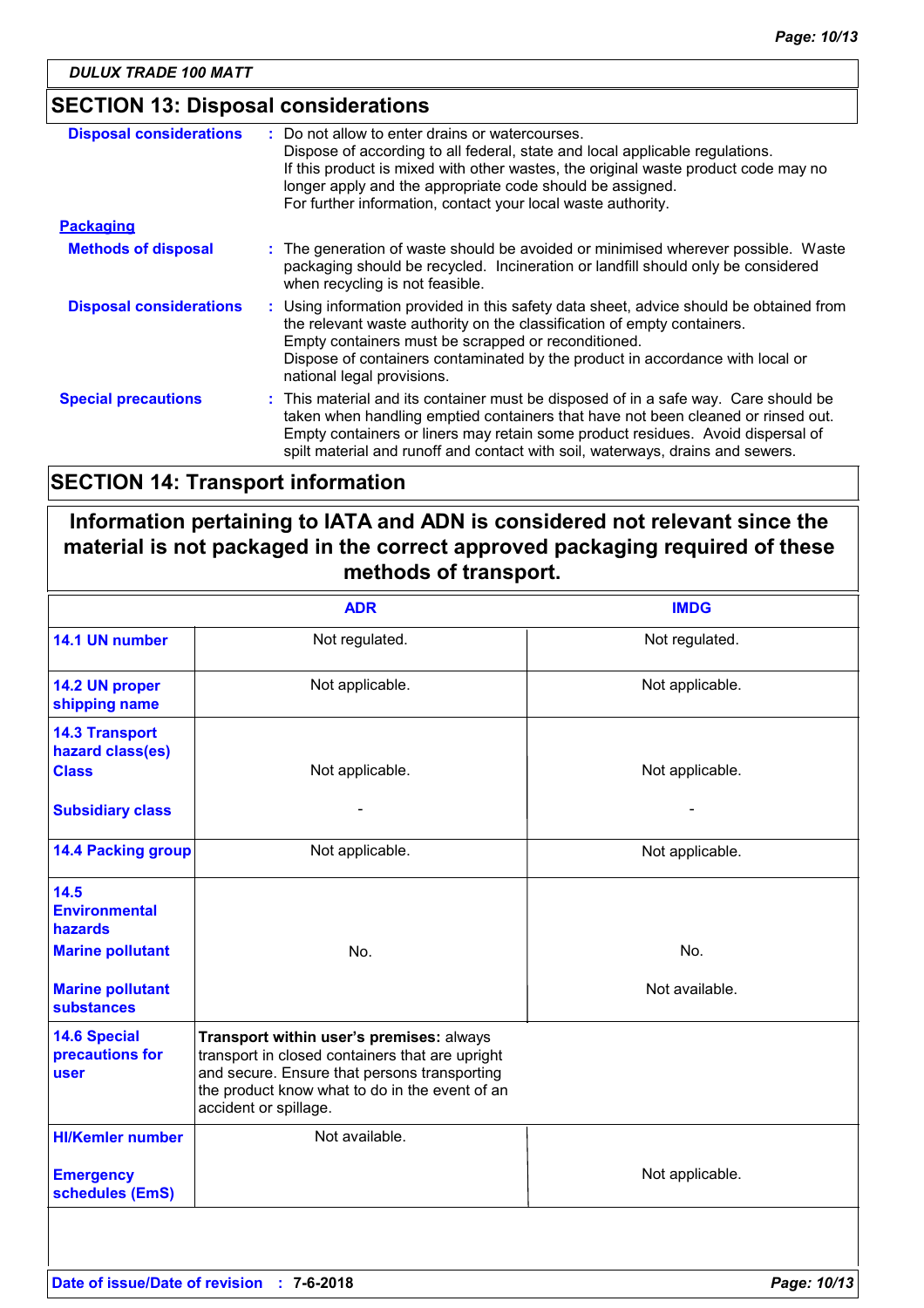### **SECTION 13: Disposal considerations**

| <b>Disposal considerations</b> | : Do not allow to enter drains or watercourses.<br>Dispose of according to all federal, state and local applicable regulations.<br>If this product is mixed with other wastes, the original waste product code may no<br>longer apply and the appropriate code should be assigned.<br>For further information, contact your local waste authority. |
|--------------------------------|----------------------------------------------------------------------------------------------------------------------------------------------------------------------------------------------------------------------------------------------------------------------------------------------------------------------------------------------------|
| <b>Packaging</b>               |                                                                                                                                                                                                                                                                                                                                                    |
| <b>Methods of disposal</b>     | : The generation of waste should be avoided or minimised wherever possible. Waste<br>packaging should be recycled. Incineration or landfill should only be considered<br>when recycling is not feasible.                                                                                                                                           |
| <b>Disposal considerations</b> | : Using information provided in this safety data sheet, advice should be obtained from<br>the relevant waste authority on the classification of empty containers.<br>Empty containers must be scrapped or reconditioned.<br>Dispose of containers contaminated by the product in accordance with local or<br>national legal provisions.            |
| <b>Special precautions</b>     | : This material and its container must be disposed of in a safe way. Care should be<br>taken when handling emptied containers that have not been cleaned or rinsed out.<br>Empty containers or liners may retain some product residues. Avoid dispersal of<br>spilt material and runoff and contact with soil, waterways, drains and sewers.       |

## **SECTION 14: Transport information**

## **Information pertaining to IATA and ADN is considered not relevant since the material is not packaged in the correct approved packaging required of these methods of transport.**

|                                                                                                                           | <b>ADR</b>                                                                                                                                                                                                             | <b>IMDG</b>           |
|---------------------------------------------------------------------------------------------------------------------------|------------------------------------------------------------------------------------------------------------------------------------------------------------------------------------------------------------------------|-----------------------|
| 14.1 UN number                                                                                                            | Not regulated.                                                                                                                                                                                                         | Not regulated.        |
| 14.2 UN proper<br>shipping name                                                                                           | Not applicable.                                                                                                                                                                                                        | Not applicable.       |
| <b>14.3 Transport</b><br>hazard class(es)<br><b>Class</b><br><b>Subsidiary class</b>                                      | Not applicable.                                                                                                                                                                                                        | Not applicable.       |
| <b>14.4 Packing group</b>                                                                                                 | Not applicable.                                                                                                                                                                                                        | Not applicable.       |
| 14.5<br><b>Environmental</b><br><b>hazards</b><br><b>Marine pollutant</b><br><b>Marine pollutant</b><br><b>substances</b> | No.                                                                                                                                                                                                                    | No.<br>Not available. |
| <b>14.6 Special</b><br>precautions for<br>user                                                                            | Transport within user's premises: always<br>transport in closed containers that are upright<br>and secure. Ensure that persons transporting<br>the product know what to do in the event of an<br>accident or spillage. |                       |
| <b>HI/Kemler number</b><br><b>Emergency</b>                                                                               | Not available.                                                                                                                                                                                                         | Not applicable.       |
| schedules (EmS)                                                                                                           |                                                                                                                                                                                                                        |                       |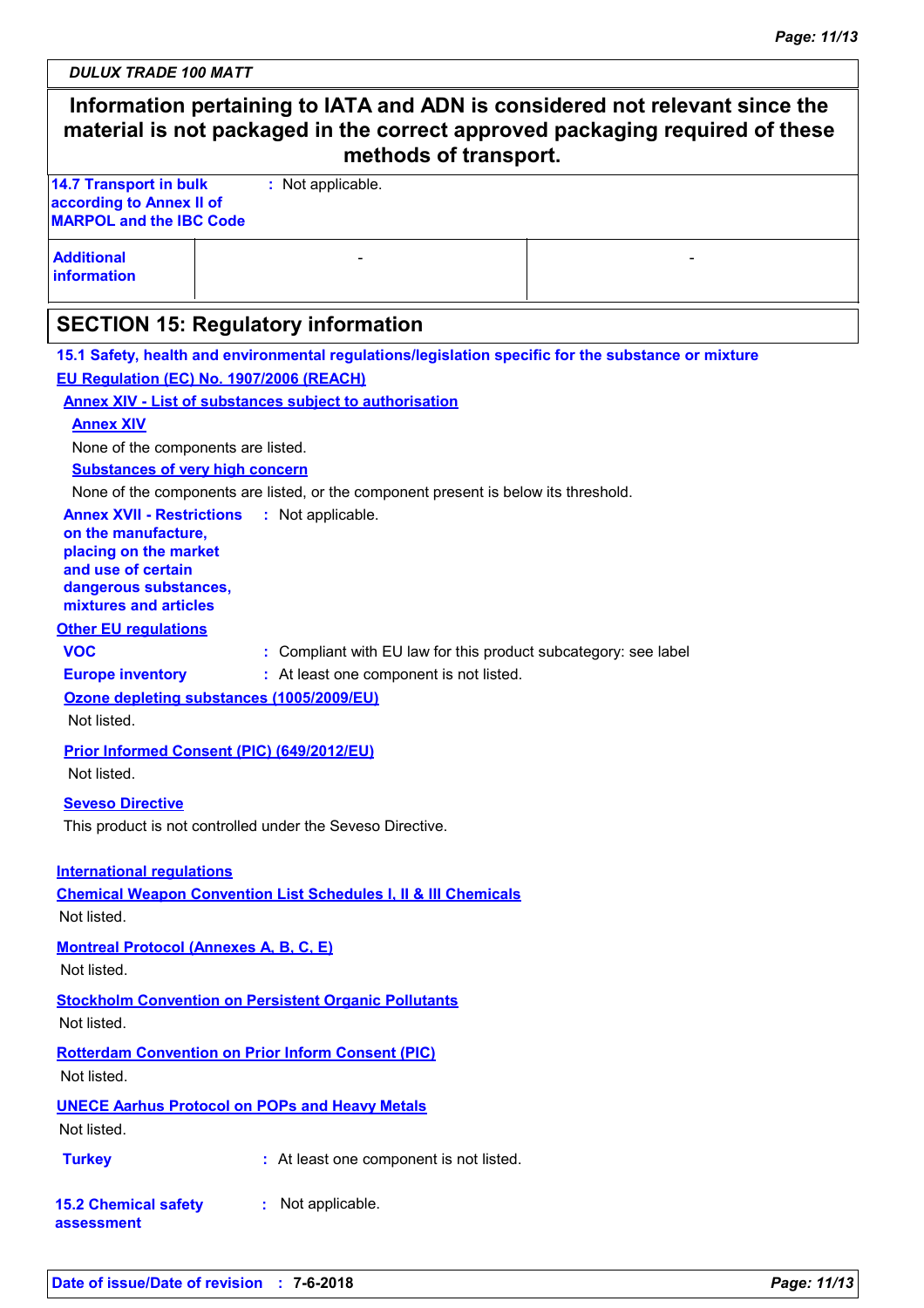| Information pertaining to IATA and ADN is considered not relevant since the<br>material is not packaged in the correct approved packaging required of these<br>methods of transport. |                                                                                                          |  |  |  |
|--------------------------------------------------------------------------------------------------------------------------------------------------------------------------------------|----------------------------------------------------------------------------------------------------------|--|--|--|
| <b>14.7 Transport in bulk</b>                                                                                                                                                        | : Not applicable.                                                                                        |  |  |  |
| according to Annex II of<br><b>MARPOL and the IBC Code</b>                                                                                                                           |                                                                                                          |  |  |  |
| <b>Additional</b><br><b>information</b>                                                                                                                                              |                                                                                                          |  |  |  |
|                                                                                                                                                                                      | <b>SECTION 15: Regulatory information</b>                                                                |  |  |  |
|                                                                                                                                                                                      | 15.1 Safety, health and environmental regulations/legislation specific for the substance or mixture      |  |  |  |
|                                                                                                                                                                                      | EU Regulation (EC) No. 1907/2006 (REACH)                                                                 |  |  |  |
|                                                                                                                                                                                      | <b>Annex XIV - List of substances subject to authorisation</b>                                           |  |  |  |
| <b>Annex XIV</b>                                                                                                                                                                     |                                                                                                          |  |  |  |
| None of the components are listed.                                                                                                                                                   |                                                                                                          |  |  |  |
| <b>Substances of very high concern</b>                                                                                                                                               |                                                                                                          |  |  |  |
| <b>Annex XVII - Restrictions</b><br>on the manufacture,<br>placing on the market<br>and use of certain<br>dangerous substances,<br>mixtures and articles                             | None of the components are listed, or the component present is below its threshold.<br>: Not applicable. |  |  |  |
| <b>Other EU regulations</b>                                                                                                                                                          |                                                                                                          |  |  |  |
| <b>VOC</b>                                                                                                                                                                           | : Compliant with EU law for this product subcategory: see label                                          |  |  |  |
| <b>Europe inventory</b>                                                                                                                                                              | : At least one component is not listed.                                                                  |  |  |  |
| Not listed.                                                                                                                                                                          | Ozone depleting substances (1005/2009/EU)                                                                |  |  |  |
| Not listed.                                                                                                                                                                          | Prior Informed Consent (PIC) (649/2012/EU)                                                               |  |  |  |
| <b>Seveso Directive</b>                                                                                                                                                              |                                                                                                          |  |  |  |
|                                                                                                                                                                                      | This product is not controlled under the Seveso Directive.                                               |  |  |  |
| <b>International regulations</b><br>Not listed.                                                                                                                                      | <b>Chemical Weapon Convention List Schedules I, II &amp; III Chemicals</b>                               |  |  |  |
| <b>Montreal Protocol (Annexes A, B, C, E)</b><br>Not listed.                                                                                                                         |                                                                                                          |  |  |  |
| Not listed.                                                                                                                                                                          | <b>Stockholm Convention on Persistent Organic Pollutants</b>                                             |  |  |  |
| Not listed.                                                                                                                                                                          | <b>Rotterdam Convention on Prior Inform Consent (PIC)</b>                                                |  |  |  |
| Not listed.                                                                                                                                                                          | <b>UNECE Aarhus Protocol on POPs and Heavy Metals</b>                                                    |  |  |  |
| <b>Turkey</b>                                                                                                                                                                        | : At least one component is not listed.                                                                  |  |  |  |
| <b>15.2 Chemical safety</b><br>assessment                                                                                                                                            | : Not applicable.                                                                                        |  |  |  |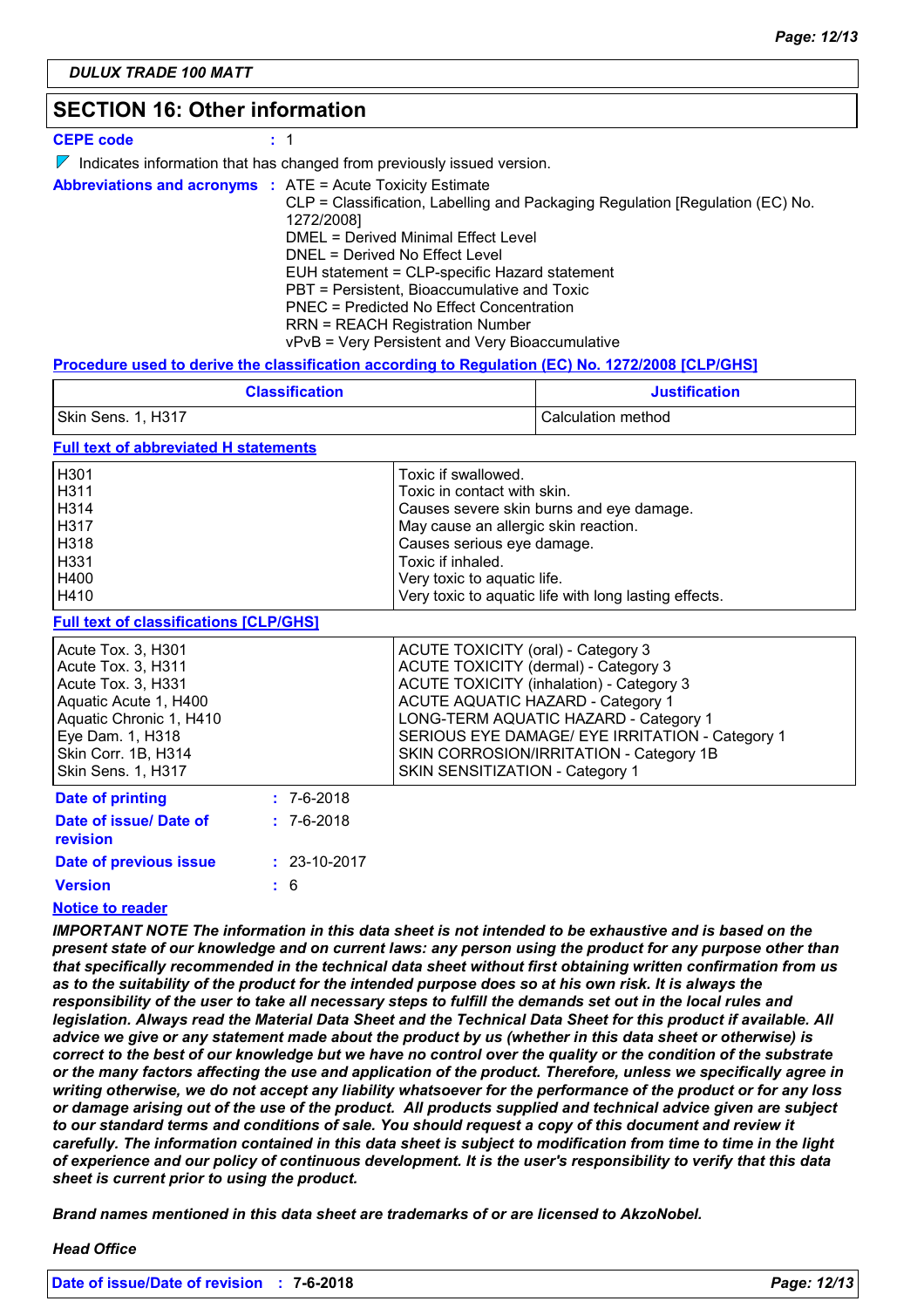## **SECTION 16: Other information**

| <b>CEPE code</b>                                                  | : 1                                                                                                                                                                                                                                                                                                                                                                                                           |
|-------------------------------------------------------------------|---------------------------------------------------------------------------------------------------------------------------------------------------------------------------------------------------------------------------------------------------------------------------------------------------------------------------------------------------------------------------------------------------------------|
|                                                                   | $\triangledown$ Indicates information that has changed from previously issued version.                                                                                                                                                                                                                                                                                                                        |
| <b>Abbreviations and acronyms : ATE = Acute Toxicity Estimate</b> | CLP = Classification, Labelling and Packaging Regulation [Regulation (EC) No.<br>1272/2008]<br>DMEL = Derived Minimal Effect Level<br>DNEL = Derived No Effect Level<br>EUH statement = CLP-specific Hazard statement<br>PBT = Persistent, Bioaccumulative and Toxic<br>PNEC = Predicted No Effect Concentration<br><b>RRN = REACH Registration Number</b><br>vPvB = Very Persistent and Very Bioaccumulative |

### **Procedure used to derive the classification according to Regulation (EC) No. 1272/2008 [CLP/GHS]**

| <b>Classification</b> | <b>Justification</b> |
|-----------------------|----------------------|
| Skin Sens. 1, H317    | Calculation method   |

### **Full text of abbreviated H statements**

| H <sub>301</sub> | Toxic if swallowed.                                   |
|------------------|-------------------------------------------------------|
| H311             | Toxic in contact with skin.                           |
| H314             | Causes severe skin burns and eye damage.              |
| H317             | May cause an allergic skin reaction.                  |
| H318             | Causes serious eye damage.                            |
| H331             | Toxic if inhaled.                                     |
| H400             | Very toxic to aquatic life.                           |
| H410             | Very toxic to aquatic life with long lasting effects. |
|                  |                                                       |

### **Full text of classifications [CLP/GHS]**

| Acute Tox. 3, H301<br>Acute Tox. 3, H311<br>Acute Tox. 3, H331<br>Aquatic Acute 1, H400<br>Aquatic Chronic 1, H410<br>Eye Dam. 1, H318<br>Skin Corr. 1B, H314<br><b>Skin Sens. 1, H317</b> |                  | ACUTE TOXICITY (oral) - Category 3<br>ACUTE TOXICITY (dermal) - Category 3<br><b>ACUTE TOXICITY (inhalation) - Category 3</b><br><b>ACUTE AQUATIC HAZARD - Category 1</b><br>LONG-TERM AQUATIC HAZARD - Category 1<br>SERIOUS EYE DAMAGE/ EYE IRRITATION - Category 1<br>SKIN CORROSION/IRRITATION - Category 1B<br>SKIN SENSITIZATION - Category 1 |
|--------------------------------------------------------------------------------------------------------------------------------------------------------------------------------------------|------------------|-----------------------------------------------------------------------------------------------------------------------------------------------------------------------------------------------------------------------------------------------------------------------------------------------------------------------------------------------------|
| Date of printing                                                                                                                                                                           | $: 7 - 6 - 2018$ |                                                                                                                                                                                                                                                                                                                                                     |
| Date of issue/ Date of<br>revision                                                                                                                                                         | $: 7 - 6 - 2018$ |                                                                                                                                                                                                                                                                                                                                                     |

#### 6 **Version Date of previous issue : :** 23-10-2017

### **Notice to reader**

*IMPORTANT NOTE The information in this data sheet is not intended to be exhaustive and is based on the present state of our knowledge and on current laws: any person using the product for any purpose other than that specifically recommended in the technical data sheet without first obtaining written confirmation from us*  as to the suitability of the product for the intended purpose does so at his own risk. It is always the *responsibility of the user to take all necessary steps to fulfill the demands set out in the local rules and legislation. Always read the Material Data Sheet and the Technical Data Sheet for this product if available. All advice we give or any statement made about the product by us (whether in this data sheet or otherwise) is correct to the best of our knowledge but we have no control over the quality or the condition of the substrate or the many factors affecting the use and application of the product. Therefore, unless we specifically agree in writing otherwise, we do not accept any liability whatsoever for the performance of the product or for any loss or damage arising out of the use of the product. All products supplied and technical advice given are subject to our standard terms and conditions of sale. You should request a copy of this document and review it carefully. The information contained in this data sheet is subject to modification from time to time in the light of experience and our policy of continuous development. It is the user's responsibility to verify that this data sheet is current prior to using the product.*

*Brand names mentioned in this data sheet are trademarks of or are licensed to AkzoNobel.*

### *Head Office*